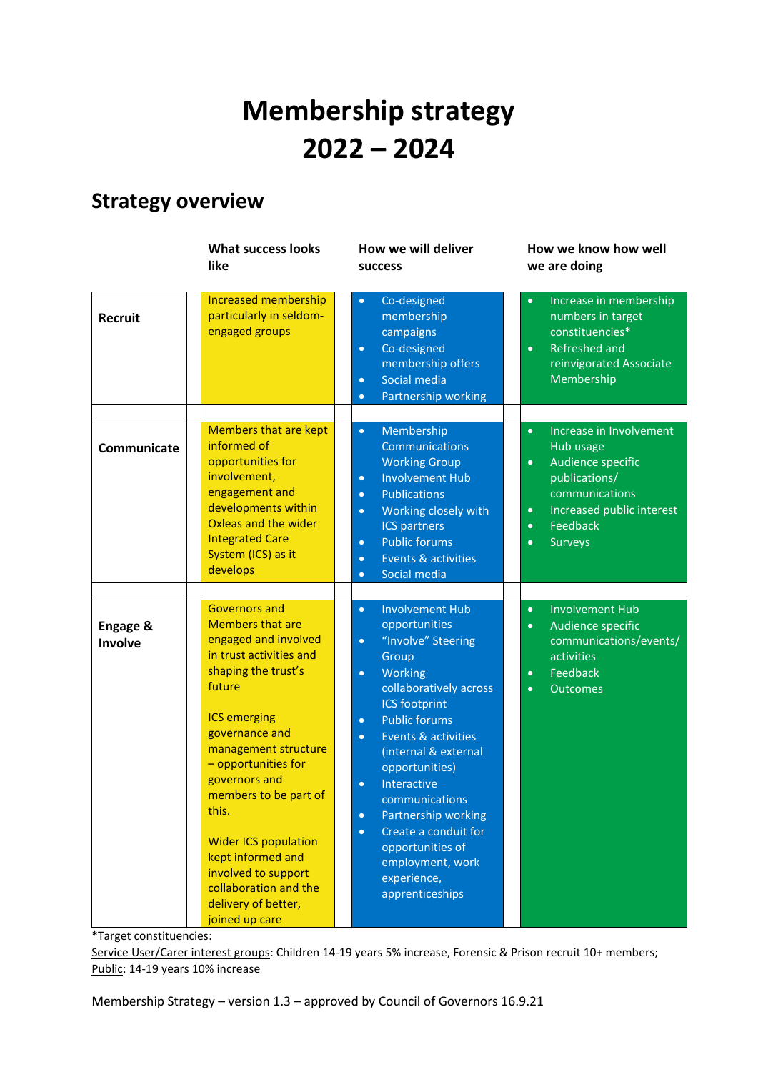# **Membership strategy 2022 – 2024**

## **Strategy overview**

|                     | <b>What success looks</b><br>like                                                                                                                                                                                                                                                                                                                                                                                           | How we will deliver<br><b>SUCCESS</b>                                                                                                                                                                                                                                                                                                                                                                                                                                                          | How we know how well<br>we are doing                                                                                                                                                                                     |
|---------------------|-----------------------------------------------------------------------------------------------------------------------------------------------------------------------------------------------------------------------------------------------------------------------------------------------------------------------------------------------------------------------------------------------------------------------------|------------------------------------------------------------------------------------------------------------------------------------------------------------------------------------------------------------------------------------------------------------------------------------------------------------------------------------------------------------------------------------------------------------------------------------------------------------------------------------------------|--------------------------------------------------------------------------------------------------------------------------------------------------------------------------------------------------------------------------|
| <b>Recruit</b>      | <b>Increased membership</b><br>particularly in seldom-<br>engaged groups                                                                                                                                                                                                                                                                                                                                                    | Co-designed<br>$\bullet$<br>membership<br>campaigns<br>Co-designed<br>$\bullet$<br>membership offers<br>Social media<br>$\bullet$<br>Partnership working<br>$\bullet$                                                                                                                                                                                                                                                                                                                          | Increase in membership<br>$\bullet$<br>numbers in target<br>constituencies*<br>Refreshed and<br>$\bullet$<br>reinvigorated Associate<br>Membership                                                                       |
| Communicate         | <b>Members that are kept</b><br>informed of<br>opportunities for<br>involvement,<br>engagement and<br>developments within<br>Oxleas and the wider<br><b>Integrated Care</b><br>System (ICS) as it<br>develops                                                                                                                                                                                                               | Membership<br>$\bullet$<br>Communications<br><b>Working Group</b><br><b>Involvement Hub</b><br>$\bullet$<br><b>Publications</b><br>$\bullet$<br>Working closely with<br>$\bullet$<br><b>ICS partners</b><br><b>Public forums</b><br>$\bullet$<br>Events & activities<br>$\bullet$<br>Social media<br>$\bullet$                                                                                                                                                                                 | Increase in Involvement<br>$\bullet$<br>Hub usage<br>Audience specific<br>$\bullet$<br>publications/<br>communications<br>Increased public interest<br>$\bullet$<br>Feedback<br>$\bullet$<br><b>Surveys</b><br>$\bullet$ |
| Engage &<br>Involve | <b>Governors and</b><br><b>Members that are</b><br>engaged and involved<br>in trust activities and<br>shaping the trust's<br>future<br><b>ICS emerging</b><br>governance and<br>management structure<br>- opportunities for<br>governors and<br>members to be part of<br>this.<br><b>Wider ICS population</b><br>kept informed and<br>involved to support<br>collaboration and the<br>delivery of better,<br>joined up care | <b>Involvement Hub</b><br>$\bullet$<br>opportunities<br>"Involve" Steering<br>$\bullet$<br>Group<br>Working<br>$\bullet$<br>collaboratively across<br><b>ICS footprint</b><br><b>Public forums</b><br>$\bullet$<br>Events & activities<br>$\bullet$<br>(internal & external<br>opportunities)<br>Interactive<br>$\bullet$<br>communications<br>Partnership working<br>$\bullet$<br>Create a conduit for<br>$\bullet$<br>opportunities of<br>employment, work<br>experience,<br>apprenticeships | <b>Involvement Hub</b><br>$\bullet$<br>Audience specific<br>$\bullet$<br>communications/events/<br>activities<br>Feedback<br>$\bullet$<br><b>Outcomes</b><br>$\bullet$                                                   |

\*Target constituencies:

Service User/Carer interest groups: Children 14-19 years 5% increase, Forensic & Prison recruit 10+ members; Public: 14-19 years 10% increase

Membership Strategy – version 1.3 – approved by Council of Governors 16.9.21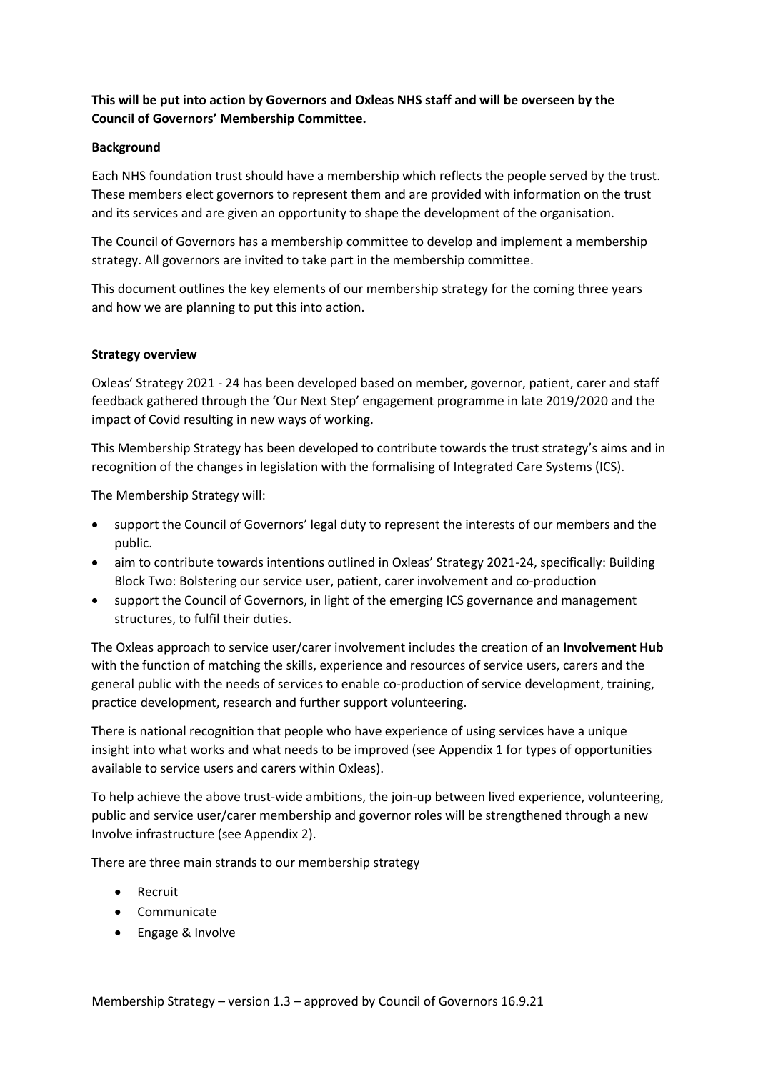#### **This will be put into action by Governors and Oxleas NHS staff and will be overseen by the Council of Governors' Membership Committee.**

#### **Background**

Each NHS foundation trust should have a membership which reflects the people served by the trust. These members elect governors to represent them and are provided with information on the trust and its services and are given an opportunity to shape the development of the organisation.

The Council of Governors has a membership committee to develop and implement a membership strategy. All governors are invited to take part in the membership committee.

This document outlines the key elements of our membership strategy for the coming three years and how we are planning to put this into action.

#### **Strategy overview**

Oxleas' Strategy 2021 - 24 has been developed based on member, governor, patient, carer and staff feedback gathered through the 'Our Next Step' engagement programme in late 2019/2020 and the impact of Covid resulting in new ways of working.

This Membership Strategy has been developed to contribute towards the trust strategy's aims and in recognition of the changes in legislation with the formalising of Integrated Care Systems (ICS).

The Membership Strategy will:

- support the Council of Governors' legal duty to represent the interests of our members and the public.
- aim to contribute towards intentions outlined in Oxleas' Strategy 2021-24, specifically: Building Block Two: Bolstering our service user, patient, carer involvement and co-production
- support the Council of Governors, in light of the emerging ICS governance and management structures, to fulfil their duties.

The Oxleas approach to service user/carer involvement includes the creation of an **Involvement Hub** with the function of matching the skills, experience and resources of service users, carers and the general public with the needs of services to enable co-production of service development, training, practice development, research and further support volunteering.

There is national recognition that people who have experience of using services have a unique insight into what works and what needs to be improved (see Appendix 1 for types of opportunities available to service users and carers within Oxleas).

To help achieve the above trust-wide ambitions, the join-up between lived experience, volunteering, public and service user/carer membership and governor roles will be strengthened through a new Involve infrastructure (see Appendix 2).

There are three main strands to our membership strategy

- Recruit
- Communicate
- Engage & Involve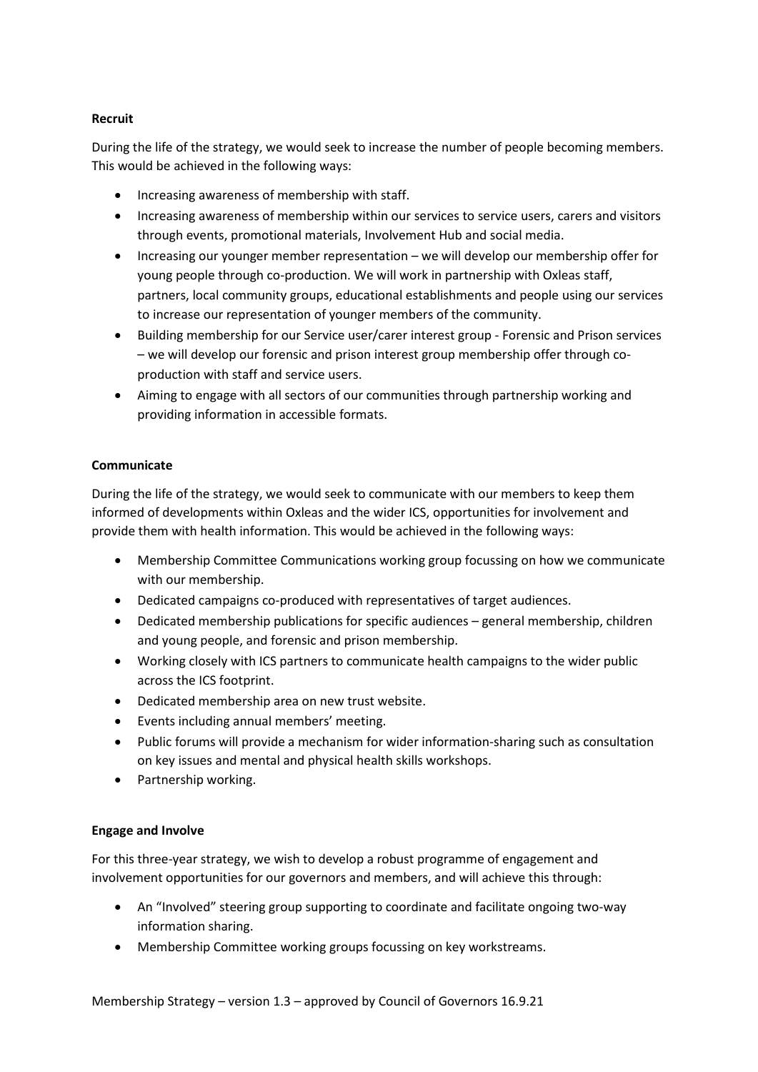#### **Recruit**

During the life of the strategy, we would seek to increase the number of people becoming members. This would be achieved in the following ways:

- Increasing awareness of membership with staff.
- Increasing awareness of membership within our services to service users, carers and visitors through events, promotional materials, Involvement Hub and social media.
- Increasing our younger member representation we will develop our membership offer for young people through co-production. We will work in partnership with Oxleas staff, partners, local community groups, educational establishments and people using our services to increase our representation of younger members of the community.
- Building membership for our Service user/carer interest group Forensic and Prison services – we will develop our forensic and prison interest group membership offer through coproduction with staff and service users.
- Aiming to engage with all sectors of our communities through partnership working and providing information in accessible formats.

#### **Communicate**

During the life of the strategy, we would seek to communicate with our members to keep them informed of developments within Oxleas and the wider ICS, opportunities for involvement and provide them with health information. This would be achieved in the following ways:

- Membership Committee Communications working group focussing on how we communicate with our membership.
- Dedicated campaigns co-produced with representatives of target audiences.
- Dedicated membership publications for specific audiences general membership, children and young people, and forensic and prison membership.
- Working closely with ICS partners to communicate health campaigns to the wider public across the ICS footprint.
- Dedicated membership area on new trust website.
- Events including annual members' meeting.
- Public forums will provide a mechanism for wider information-sharing such as consultation on key issues and mental and physical health skills workshops.
- Partnership working.

#### **Engage and Involve**

For this three-year strategy, we wish to develop a robust programme of engagement and involvement opportunities for our governors and members, and will achieve this through:

- An "Involved" steering group supporting to coordinate and facilitate ongoing two-way information sharing.
- Membership Committee working groups focussing on key workstreams.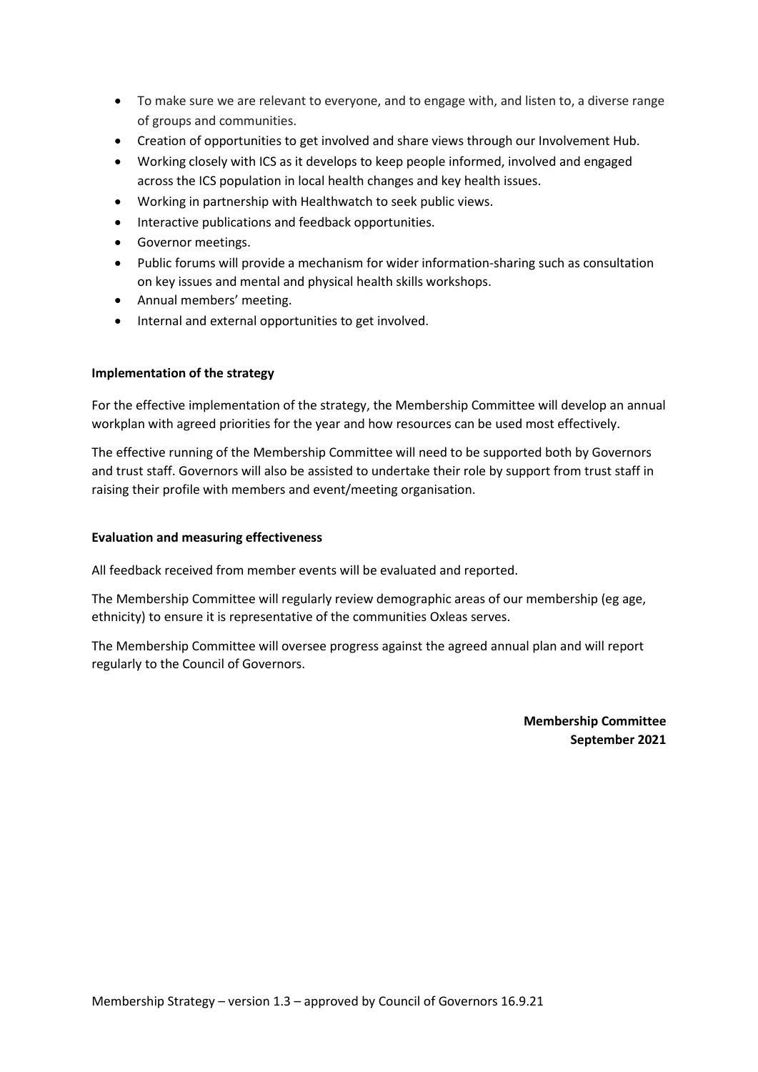- To make sure we are relevant to everyone, and to engage with, and listen to, a diverse range of groups and communities.
- Creation of opportunities to get involved and share views through our Involvement Hub.
- Working closely with ICS as it develops to keep people informed, involved and engaged across the ICS population in local health changes and key health issues.
- Working in partnership with Healthwatch to seek public views.
- Interactive publications and feedback opportunities.
- Governor meetings.
- Public forums will provide a mechanism for wider information-sharing such as consultation on key issues and mental and physical health skills workshops.
- Annual members' meeting.
- Internal and external opportunities to get involved.

#### **Implementation of the strategy**

For the effective implementation of the strategy, the Membership Committee will develop an annual workplan with agreed priorities for the year and how resources can be used most effectively.

The effective running of the Membership Committee will need to be supported both by Governors and trust staff. Governors will also be assisted to undertake their role by support from trust staff in raising their profile with members and event/meeting organisation.

#### **Evaluation and measuring effectiveness**

All feedback received from member events will be evaluated and reported.

The Membership Committee will regularly review demographic areas of our membership (eg age, ethnicity) to ensure it is representative of the communities Oxleas serves.

The Membership Committee will oversee progress against the agreed annual plan and will report regularly to the Council of Governors.

> **Membership Committee September 2021**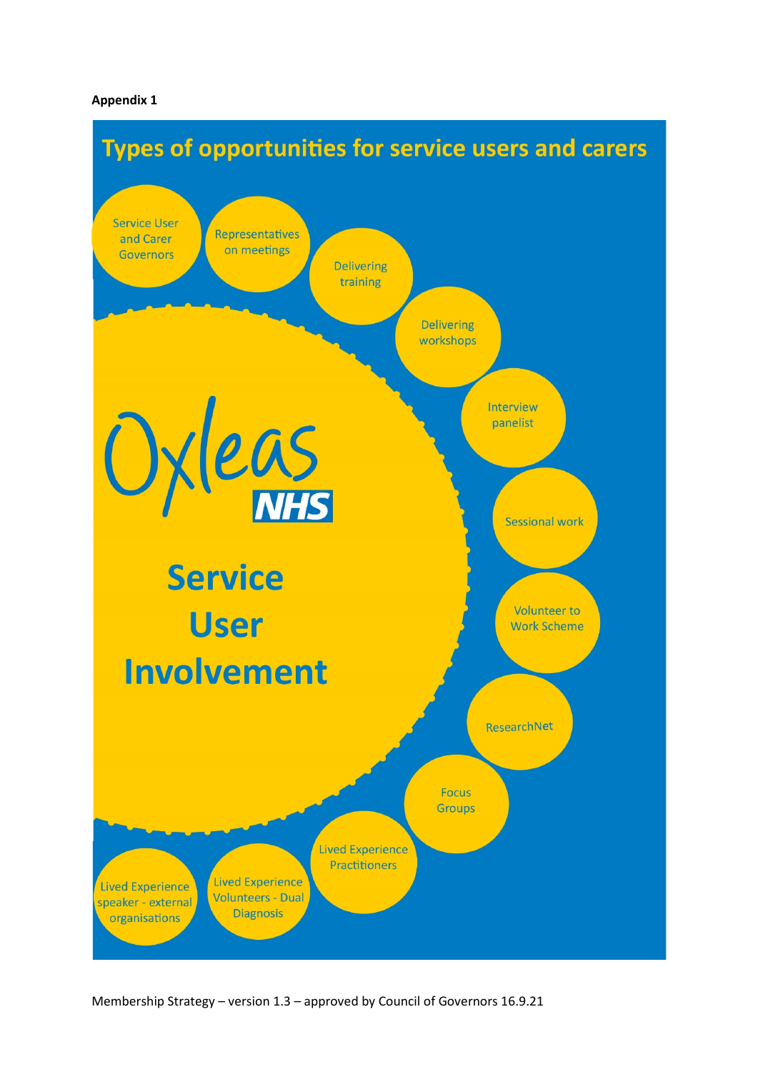#### **Appendix 1**



Membership Strategy – version 1.3 – approved by Council of Governors 16.9.21